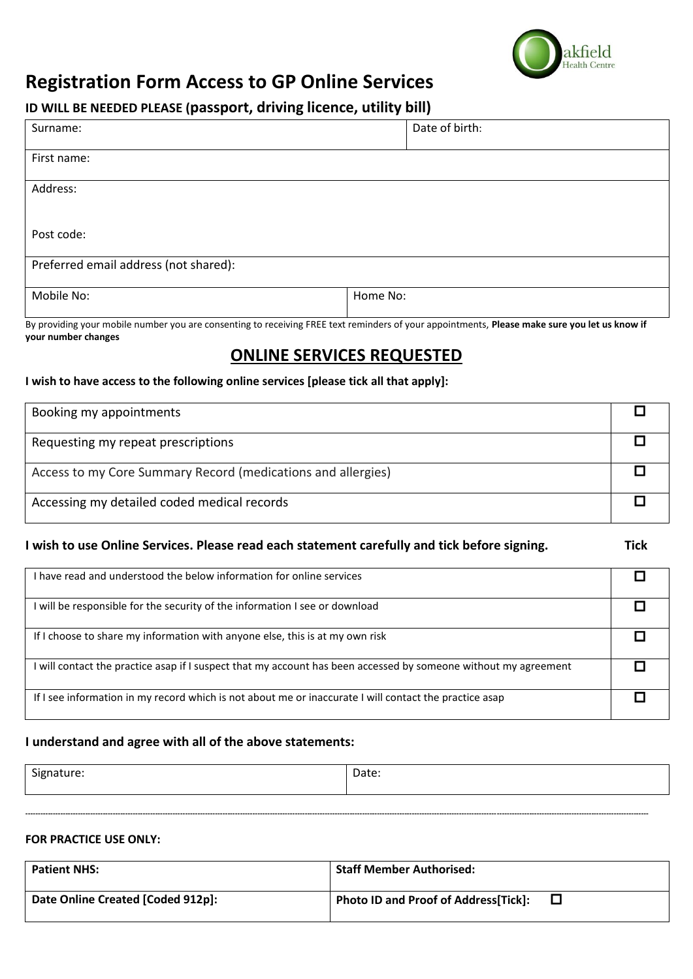

## **Registration Form Access to GP Online Services**

### **ID WILL BE NEEDED PLEASE (passport, driving licence, utility bill)**

| Surname:                              | Date of birth: |  |
|---------------------------------------|----------------|--|
|                                       |                |  |
|                                       |                |  |
| First name:                           |                |  |
|                                       |                |  |
| Address:                              |                |  |
|                                       |                |  |
|                                       |                |  |
|                                       |                |  |
| Post code:                            |                |  |
|                                       |                |  |
|                                       |                |  |
| Preferred email address (not shared): |                |  |
|                                       |                |  |
| Mobile No:                            | Home No:       |  |
|                                       |                |  |
|                                       |                |  |

By providing your mobile number you are consenting to receiving FREE text reminders of your appointments, **Please make sure you let us know if your number changes**

## **ONLINE SERVICES REQUESTED**

#### **I wish to have access to the following online services [please tick all that apply]:**

| Booking my appointments                                      |  |
|--------------------------------------------------------------|--|
| Requesting my repeat prescriptions                           |  |
| Access to my Core Summary Record (medications and allergies) |  |
| Accessing my detailed coded medical records                  |  |

### **I wish to use Online Services. Please read each statement carefully and tick before signing. Tick**

| I have read and understood the below information for online services                                            |  |
|-----------------------------------------------------------------------------------------------------------------|--|
| I will be responsible for the security of the information I see or download                                     |  |
| If I choose to share my information with anyone else, this is at my own risk                                    |  |
| I will contact the practice asap if I suspect that my account has been accessed by someone without my agreement |  |
| If I see information in my record which is not about me or inaccurate I will contact the practice asap          |  |

### **I understand and agree with all of the above statements:**

| $\sim$<br>signature: | Date: |
|----------------------|-------|
|                      |       |

**----------------------------------------------------------------------------------------------------------------------------------------------------------------------------------------------------------------------------------------------------------**

#### **FOR PRACTICE USE ONLY:**

| <b>Patient NHS:</b>               | <b>Staff Member Authorised:</b>              |  |
|-----------------------------------|----------------------------------------------|--|
| Date Online Created [Coded 912p]: | <b>Photo ID and Proof of Address [Tick]:</b> |  |